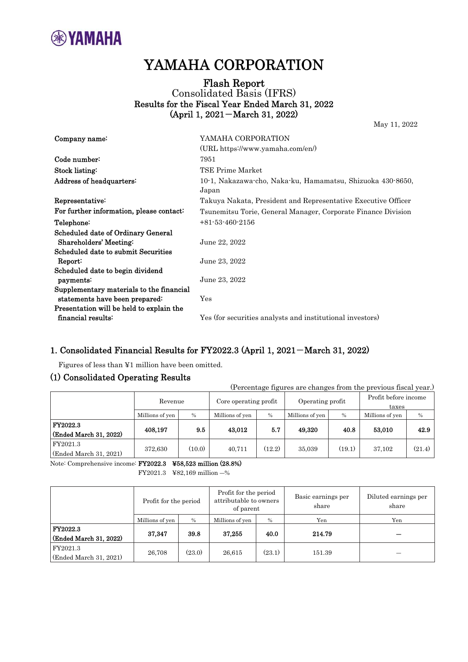

# YAMAHA CORPORATION

### Flash Report Consolidated Basis (IFRS) Results for the Fiscal Year Ended March 31, 2022 (April 1, 2021-March 31, 2022)

May 11, 2022

| Company name:                             | YAMAHA CORPORATION                                                  |
|-------------------------------------------|---------------------------------------------------------------------|
|                                           | (URL https://www.yamaha.com/en/)                                    |
| Code number:                              | 7951                                                                |
| Stock listing:                            | TSE Prime Market                                                    |
| Address of headquarters:                  | 10-1, Nakazawa-cho, Naka-ku, Hamamatsu, Shizuoka 430-8650,<br>Japan |
| Representative:                           | Takuya Nakata, President and Representative Executive Officer       |
| For further information, please contact:  | Tsunemitsu Torie, General Manager, Corporate Finance Division       |
| Telephone:                                | $+81-53-460-2156$                                                   |
| <b>Scheduled date of Ordinary General</b> |                                                                     |
| Shareholders' Meeting:                    | June 22, 2022                                                       |
| Scheduled date to submit Securities       |                                                                     |
| Report:                                   | June 23, 2022                                                       |
| Scheduled date to begin dividend          |                                                                     |
| payments:                                 | June 23, 2022                                                       |
| Supplementary materials to the financial  |                                                                     |
| statements have been prepared:            | Yes                                                                 |
| Presentation will be held to explain the  |                                                                     |
| financial results:                        | Yes (for securities analysts and institutional investors)           |

### 1. Consolidated Financial Results for FY2022.3 (April 1, 2021-March 31, 2022)

Figures of less than ¥1 million have been omitted.

### (1) Consolidated Operating Results

| (Percentage figures are changes from the previous fiscal year.) |                 |        |                       |        |                  |        |                               |        |
|-----------------------------------------------------------------|-----------------|--------|-----------------------|--------|------------------|--------|-------------------------------|--------|
|                                                                 | Revenue         |        | Core operating profit |        | Operating profit |        | Profit before income<br>taxes |        |
|                                                                 | Millions of yen | $\%$   | Millions of yen       | $\%$   | Millions of yen  | $\%$   | Millions of yen               | $\%$   |
| FY2022.3                                                        |                 |        |                       |        |                  |        |                               |        |
| (Ended March 31, 2022)                                          | 408,197         | 9.5    | 43.012                | 5.7    | 49.320           | 40.8   | 53.010                        | 42.9   |
| FY2021.3                                                        |                 |        |                       |        |                  |        |                               |        |
| (Ended March 31, 2021)                                          | 372,630         | (10.0) | 40,711                | (12.2) | 35,039           | (19.1) | 37,102                        | (21.4) |

Note: Comprehensive income: FY2022.3 ¥58,523 million (28.8%)

FY2021.3 ¥82,169 million ―%

|                        | Profit for the period |                  | Profit for the period<br>attributable to owners<br>of parent |        | Basic earnings per<br>share | Diluted earnings per<br>share |
|------------------------|-----------------------|------------------|--------------------------------------------------------------|--------|-----------------------------|-------------------------------|
|                        | Millions of yen       | $\%$             | Millions of yen                                              | $\%$   | Yen                         | Yen                           |
| FY2022.3               |                       | 39.8             |                                                              |        |                             |                               |
| (Ended March 31, 2022) | 37,347                |                  | 37,255                                                       | 40.0   | 214.79                      |                               |
| FY2021.3               |                       |                  | 26.615                                                       |        |                             |                               |
| (Ended March 31, 2021) |                       | (23.0)<br>26,708 |                                                              | (23.1) | 151.39                      |                               |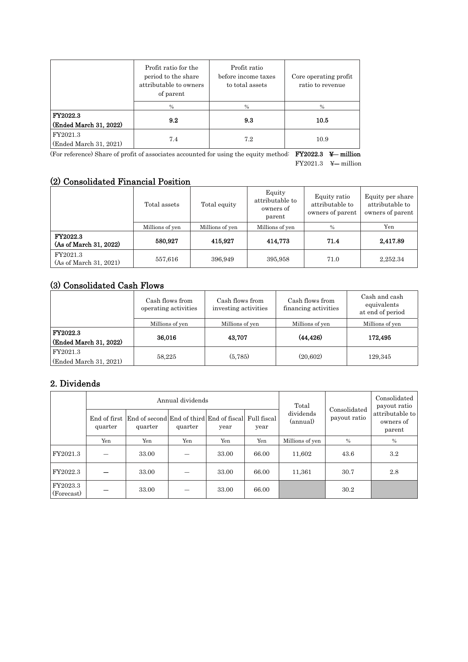|                        | Profit ratio for the<br>period to the share<br>attributable to owners<br>of parent | Profit ratio<br>before income taxes<br>to total assets | Core operating profit<br>ratio to revenue |  |
|------------------------|------------------------------------------------------------------------------------|--------------------------------------------------------|-------------------------------------------|--|
|                        | $\frac{0}{0}$                                                                      | $\%$                                                   | %                                         |  |
| <b>FY2022.3</b>        |                                                                                    |                                                        |                                           |  |
| (Ended March 31, 2022) | 9.2                                                                                | 9.3                                                    | 10.5                                      |  |
| FY2021.3               |                                                                                    |                                                        |                                           |  |
| (Ended March 31, 2021) | 7.4                                                                                | 7.2                                                    | 10.9                                      |  |

(For reference) Share of profit of associates accounted for using the equity method: FY2022.3 ¥― million

FY2021.3 ¥― million

# (2) Consolidated Financial Position

|                                    | Total assets    | Total equity    | Equity<br>attributable to<br>owners of<br>parent | Equity ratio<br>attributable to<br>owners of parent | Equity per share<br>attributable to<br>owners of parent |
|------------------------------------|-----------------|-----------------|--------------------------------------------------|-----------------------------------------------------|---------------------------------------------------------|
|                                    | Millions of yen | Millions of yen | Millions of yen                                  | $\%$                                                | Yen                                                     |
| FY2022.3<br>(As of March 31, 2022) | 580,927         | 415,927         | 414,773                                          | 71.4                                                | 2,417.89                                                |
| FY2021.3<br>(As of March 31, 2021) | 557,616         | 396.949         | 395,958                                          | 71.0                                                | 2,252.34                                                |

# (3) Consolidated Cash Flows

|                        | Cash flows from<br>operating activities | Cash flows from<br>investing activities | Cash flows from<br>financing activities | Cash and cash<br>equivalents<br>at end of period |  |
|------------------------|-----------------------------------------|-----------------------------------------|-----------------------------------------|--------------------------------------------------|--|
|                        | Millions of yen                         | Millions of yen                         | Millions of yen                         | Millions of yen                                  |  |
| FY2022.3               |                                         |                                         |                                         |                                                  |  |
| (Ended March 31, 2022) | 36,016                                  | 43,707                                  | (44, 426)                               | 172.495                                          |  |
| FY2021.3               |                                         |                                         |                                         |                                                  |  |
| (Ended March 31, 2021) | 58,225                                  | (5.785)                                 | (20, 602)                               | 129,345                                          |  |

# 2. Dividends

|                        |         |                                                                              | Annual dividends | Total | Consolidated | Consolidated<br>payout ratio          |      |                                        |
|------------------------|---------|------------------------------------------------------------------------------|------------------|-------|--------------|---------------------------------------|------|----------------------------------------|
|                        | quarter | End of first End of second End of third End of fiscal Full fiscal<br>quarter | quarter          | year  | year         | dividends<br>payout ratio<br>(annual) |      | attributable to<br>owners of<br>parent |
|                        | Yen     | Yen                                                                          | Yen              | Yen   | Yen          | Millions of yen                       | $\%$ | $\%$                                   |
| FY2021.3               |         | 33.00                                                                        |                  | 33.00 | 66.00        | 11,602                                | 43.6 | 3.2                                    |
| FY2022.3               |         | 33.00                                                                        |                  | 33.00 | 66.00        | 11,361                                | 30.7 | 2.8                                    |
| FY2023.3<br>(Forecast) |         | 33.00                                                                        |                  | 33.00 | 66.00        |                                       | 30.2 |                                        |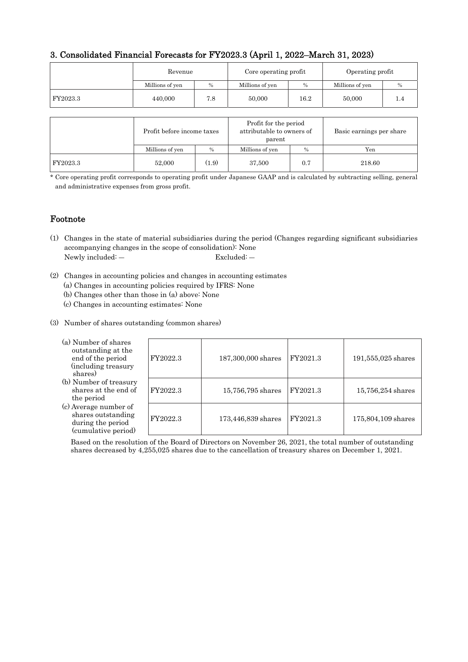### 3. Consolidated Financial Forecasts for FY2023.3 (April 1, 2022–March 31, 2023)

|          | Revenue         |      | Core operating profit |      | Operating profit |      |  |
|----------|-----------------|------|-----------------------|------|------------------|------|--|
|          | Millions of yen | $\%$ | Millions of yen       | $\%$ | Millions of yen  | $\%$ |  |
| FY2023.3 | 440,000         | 7.8  | 50,000                | 16.2 | 50,000           |      |  |

|                 | Profit before income taxes |               | Profit for the period<br>attributable to owners of<br>parent |      | Basic earnings per share |
|-----------------|----------------------------|---------------|--------------------------------------------------------------|------|--------------------------|
|                 | Millions of yen            | $\frac{0}{0}$ | Millions of yen                                              | $\%$ | Yen                      |
| <b>FY2023.3</b> | 52,000                     | (1.9)         | 37.500                                                       | 0.7  | 218.60                   |

\* Core operating profit corresponds to operating profit under Japanese GAAP and is calculated by subtracting selling, general and administrative expenses from gross profit.

### Footnote

- (1) Changes in the state of material subsidiaries during the period (Changes regarding significant subsidiaries accompanying changes in the scope of consolidation): None Newly included: — <br> Excluded: — <br> Excluded: —
- (2) Changes in accounting policies and changes in accounting estimates
	- (a) Changes in accounting policies required by IFRS: None
	- (b) Changes other than those in (a) above: None
	- (c) Changes in accounting estimates: None
- (3) Number of shares outstanding (common shares)

| (a) Number of shares<br>outstanding at the<br>end of the period<br>(including treasury)<br>shares) | FY2022.3 | 187,300,000 shares | FY2021.3 | 191,555,025 shares |
|----------------------------------------------------------------------------------------------------|----------|--------------------|----------|--------------------|
| (b) Number of treasury<br>shares at the end of<br>the period                                       | FY2022.3 | 15,756,795 shares  | FY2021.3 | 15,756,254 shares  |
| (c) Average number of<br>shares outstanding<br>during the period<br>(cumulative period)            | FY2022.3 | 173,446,839 shares | FY2021.3 | 175,804,109 shares |

Based on the resolution of the Board of Directors on November 26, 2021, the total number of outstanding shares decreased by 4,255,025 shares due to the cancellation of treasury shares on December 1, 2021.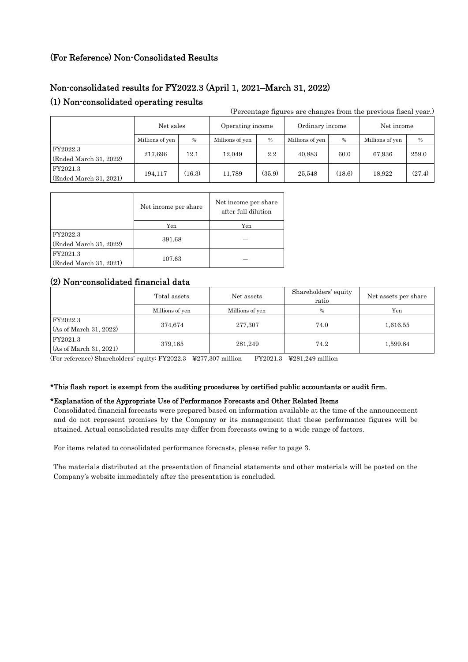### (For Reference) Non-Consolidated Results

## Non-consolidated results for FY2022.3 (April 1, 2021–March 31, 2022)

### (1) Non-consolidated operating results

|                        | Net sales       |        | Operating income |        | Ordinary income |        | Net income      |        |
|------------------------|-----------------|--------|------------------|--------|-----------------|--------|-----------------|--------|
|                        | Millions of yen | $\%$   | Millions of yen  | $\%$   | Millions of yen | $\%$   | Millions of yen | $\%$   |
| FY2022.3               |                 | 12.1   | 12.049           | 2.2    | 40,883          | 60.0   | 67.936          | 259.0  |
| (Ended March 31, 2022) | 217.696         |        |                  |        |                 |        |                 |        |
| FY2021.3               | 194,117         | (16.3) | 11,789           | (35.9) | 25,548          | (18.6) | 18.922          | (27.4) |
| (Ended March 31, 2021) |                 |        |                  |        |                 |        |                 |        |

#### (Percentage figures are changes from the previous fiscal year.)

|                        | Net income per share | Net income per share<br>after full dilution |
|------------------------|----------------------|---------------------------------------------|
|                        | Yen                  | Yen                                         |
| FY2022.3               |                      |                                             |
| (Ended March 31, 2022) | 391.68               |                                             |
| FY2021.3               |                      |                                             |
| (Ended March 31, 2021) | 107.63               |                                             |

### (2) Non-consolidated financial data

|                                    | Total assets    | Net assets      | Shareholders' equity<br>ratio | Net assets per share |
|------------------------------------|-----------------|-----------------|-------------------------------|----------------------|
|                                    | Millions of yen | Millions of yen | $\frac{0}{0}$                 | Yen                  |
| FY2022.3<br>(As of March 31, 2022) | 374,674         | 277,307         | 74.0                          | 1,616.55             |
| FY2021.3<br>(As of March 31, 2021) | 379,165         | 281,249         | 74.2                          | 1,599.84             |

(For reference) Shareholders' equity: FY2022.3 ¥277,307 million FY2021.3 ¥281,249 million

#### \*This flash report is exempt from the auditing procedures by certified public accountants or audit firm.

#### \*Explanation of the Appropriate Use of Performance Forecasts and Other Related Items

Consolidated financial forecasts were prepared based on information available at the time of the announcement and do not represent promises by the Company or its management that these performance figures will be attained. Actual consolidated results may differ from forecasts owing to a wide range of factors.

For items related to consolidated performance forecasts, please refer to page 3.

The materials distributed at the presentation of financial statements and other materials will be posted on the Company's website immediately after the presentation is concluded.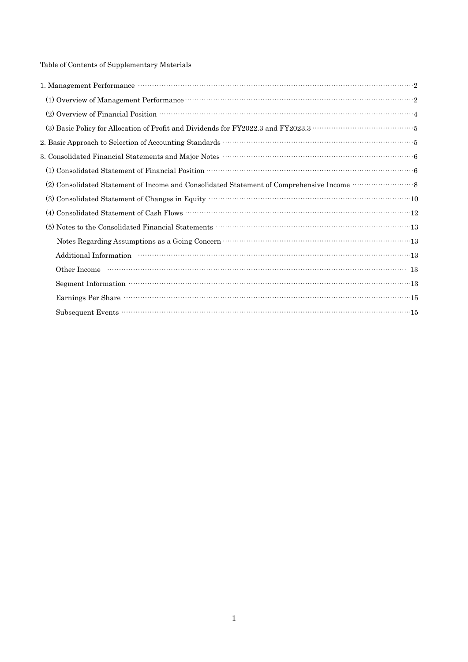Table of Contents of Supplementary Materials

| 1. Management Performance manufactured and contract the person of the Performance of the Performance manufactured and $2$                      |
|------------------------------------------------------------------------------------------------------------------------------------------------|
|                                                                                                                                                |
|                                                                                                                                                |
|                                                                                                                                                |
|                                                                                                                                                |
|                                                                                                                                                |
|                                                                                                                                                |
| Consolidated Statement of Income and Consolidated Statement of Comprehensive Income $\cdots\cdots\cdots\cdots\cdots\cdots\cdots\otimes$<br>(2) |
|                                                                                                                                                |
|                                                                                                                                                |
|                                                                                                                                                |
|                                                                                                                                                |
| Additional Information www.www.www.www.www.www.www.www.www.wali                                                                                |
|                                                                                                                                                |
|                                                                                                                                                |
|                                                                                                                                                |
|                                                                                                                                                |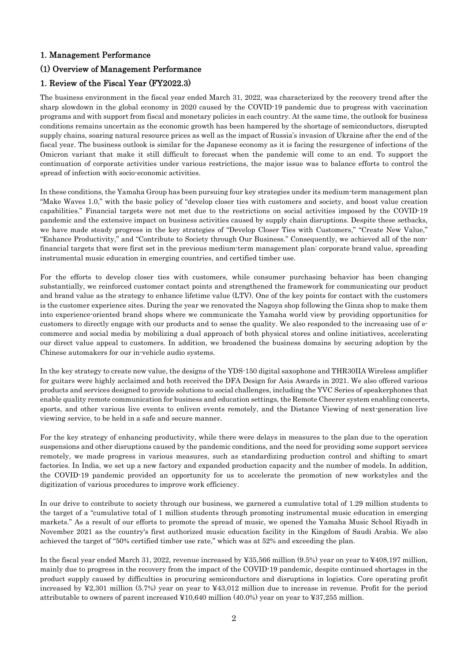#### 1. Management Performance

### (1) Overview of Management Performance

### 1. Review of the Fiscal Year (FY2022.3)

The business environment in the fiscal year ended March 31, 2022, was characterized by the recovery trend after the sharp slowdown in the global economy in 2020 caused by the COVID-19 pandemic due to progress with vaccination programs and with support from fiscal and monetary policies in each country. At the same time, the outlook for business conditions remains uncertain as the economic growth has been hampered by the shortage of semiconductors, disrupted supply chains, soaring natural resource prices as well as the impact of Russia's invasion of Ukraine after the end of the fiscal year. The business outlook is similar for the Japanese economy as it is facing the resurgence of infections of the Omicron variant that make it still difficult to forecast when the pandemic will come to an end. To support the continuation of corporate activities under various restrictions, the major issue was to balance efforts to control the spread of infection with socio-economic activities.

In these conditions, the Yamaha Group has been pursuing four key strategies under its medium-term management plan "Make Waves 1.0," with the basic policy of "develop closer ties with customers and society, and boost value creation capabilities." Financial targets were not met due to the restrictions on social activities imposed by the COVID-19 pandemic and the extensive impact on business activities caused by supply chain disruptions. Despite these setbacks, we have made steady progress in the key strategies of "Develop Closer Ties with Customers," "Create New Value," "Enhance Productivity," and "Contribute to Society through Our Business." Consequently, we achieved all of the nonfinancial targets that were first set in the previous medium-term management plan: corporate brand value, spreading instrumental music education in emerging countries, and certified timber use.

For the efforts to develop closer ties with customers, while consumer purchasing behavior has been changing substantially, we reinforced customer contact points and strengthened the framework for communicating our product and brand value as the strategy to enhance lifetime value (LTV). One of the key points for contact with the customers is the customer experience sites. During the year we renovated the Nagoya shop following the Ginza shop to make them into experience-oriented brand shops where we communicate the Yamaha world view by providing opportunities for customers to directly engage with our products and to sense the quality. We also responded to the increasing use of ecommerce and social media by mobilizing a dual approach of both physical stores and online initiatives, accelerating our direct value appeal to customers. In addition, we broadened the business domains by securing adoption by the Chinese automakers for our in-vehicle audio systems.

In the key strategy to create new value, the designs of the YDS-150 digital saxophone and THR30IIA Wireless amplifier for guitars were highly acclaimed and both received the DFA Design for Asia Awards in 2021. We also offered various products and services designed to provide solutions to social challenges, including the YVC Series of speakerphones that enable quality remote communication for business and education settings, the Remote Cheerer system enabling concerts, sports, and other various live events to enliven events remotely, and the Distance Viewing of next-generation live viewing service, to be held in a safe and secure manner.

For the key strategy of enhancing productivity, while there were delays in measures to the plan due to the operation suspensions and other disruptions caused by the pandemic conditions, and the need for providing some support services remotely, we made progress in various measures, such as standardizing production control and shifting to smart factories. In India, we set up a new factory and expanded production capacity and the number of models. In addition, the COVID-19 pandemic provided an opportunity for us to accelerate the promotion of new workstyles and the digitization of various procedures to improve work efficiency.

In our drive to contribute to society through our business, we garnered a cumulative total of 1.29 million students to the target of a "cumulative total of 1 million students through promoting instrumental music education in emerging markets." As a result of our efforts to promote the spread of music, we opened the Yamaha Music School Riyadh in November 2021 as the country's first authorized music education facility in the Kingdom of Saudi Arabia. We also achieved the target of "50% certified timber use rate," which was at 52% and exceeding the plan.

In the fiscal year ended March 31, 2022, revenue increased by ¥35,566 million (9.5%) year on year to ¥408,197 million, mainly due to progress in the recovery from the impact of the COVID-19 pandemic, despite continued shortages in the product supply caused by difficulties in procuring semiconductors and disruptions in logistics. Core operating profit increased by ¥2,301 million (5.7%) year on year to ¥43,012 million due to increase in revenue. Profit for the period attributable to owners of parent increased ¥10,640 million (40.0%) year on year to ¥37,255 million.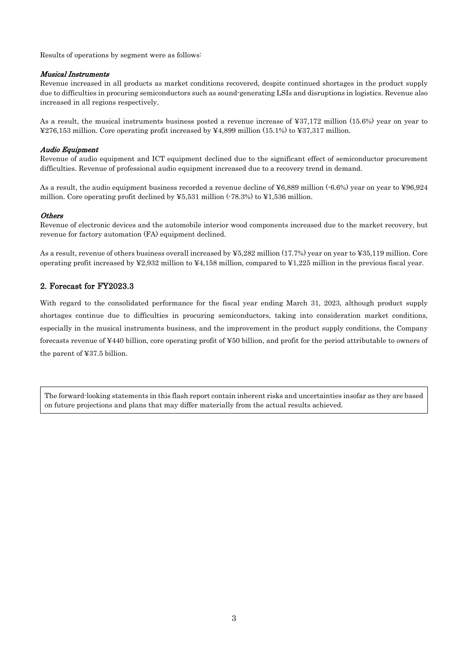Results of operations by segment were as follows:

#### Musical Instruments

Revenue increased in all products as market conditions recovered, despite continued shortages in the product supply due to difficulties in procuring semiconductors such as sound-generating LSIs and disruptions in logistics. Revenue also increased in all regions respectively.

As a result, the musical instruments business posted a revenue increase of ¥37,172 million (15.6%) year on year to ¥276,153 million. Core operating profit increased by ¥4,899 million (15.1%) to ¥37,317 million.

#### Audio Equipment

Revenue of audio equipment and ICT equipment declined due to the significant effect of semiconductor procurement difficulties. Revenue of professional audio equipment increased due to a recovery trend in demand.

As a result, the audio equipment business recorded a revenue decline of ¥6,889 million (-6.6%) year on year to ¥96,924 million. Core operating profit declined by  $\yen 5,531$  million (-78.3%) to  $\yen 1,536$  million.

#### **Others**

Revenue of electronic devices and the automobile interior wood components increased due to the market recovery, but revenue for factory automation (FA) equipment declined.

As a result, revenue of others business overall increased by ¥5,282 million (17.7%) year on year to ¥35,119 million. Core operating profit increased by ¥2,932 million to ¥4,158 million, compared to ¥1,225 million in the previous fiscal year.

#### 2. Forecast for FY2023.3

With regard to the consolidated performance for the fiscal year ending March 31, 2023, although product supply shortages continue due to difficulties in procuring semiconductors, taking into consideration market conditions, especially in the musical instruments business, and the improvement in the product supply conditions, the Company forecasts revenue of ¥440 billion, core operating profit of ¥50 billion, and profit for the period attributable to owners of the parent of ¥37.5 billion.

The forward-looking statements in this flash report contain inherent risks and uncertainties insofar as they are based on future projections and plans that may differ materially from the actual results achieved.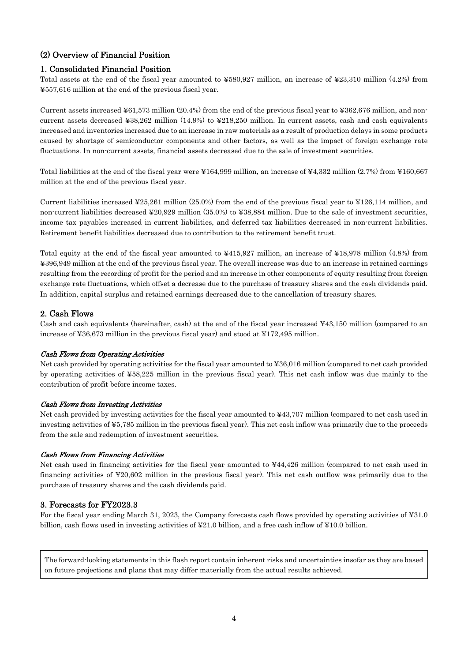### (2) Overview of Financial Position

#### 1. Consolidated Financial Position

Total assets at the end of the fiscal year amounted to ¥580,927 million, an increase of ¥23,310 million (4.2%) from ¥557,616 million at the end of the previous fiscal year.

Current assets increased ¥61,573 million (20.4%) from the end of the previous fiscal year to ¥362,676 million, and noncurrent assets decreased ¥38,262 million (14.9%) to ¥218,250 million. In current assets, cash and cash equivalents increased and inventories increased due to an increase in raw materials as a result of production delays in some products caused by shortage of semiconductor components and other factors, as well as the impact of foreign exchange rate fluctuations. In non-current assets, financial assets decreased due to the sale of investment securities.

Total liabilities at the end of the fiscal year were ¥164,999 million, an increase of ¥4,332 million (2.7%) from ¥160,667 million at the end of the previous fiscal year.

Current liabilities increased ¥25,261 million (25.0%) from the end of the previous fiscal year to ¥126,114 million, and non-current liabilities decreased  $\angle 20.929$  million (35.0%) to  $\angle 38.884$  million. Due to the sale of investment securities income tax payables increased in current liabilities, and deferred tax liabilities decreased in non-current liabilities. Retirement benefit liabilities decreased due to contribution to the retirement benefit trust.

Total equity at the end of the fiscal year amounted to ¥415,927 million, an increase of ¥18,978 million (4.8%) from ¥396,949 million at the end of the previous fiscal year. The overall increase was due to an increase in retained earnings resulting from the recording of profit for the period and an increase in other components of equity resulting from foreign exchange rate fluctuations, which offset a decrease due to the purchase of treasury shares and the cash dividends paid. In addition, capital surplus and retained earnings decreased due to the cancellation of treasury shares.

#### 2. Cash Flows

Cash and cash equivalents (hereinafter, cash) at the end of the fiscal year increased ¥43,150 million (compared to an increase of ¥36,673 million in the previous fiscal year) and stood at ¥172,495 million.

#### Cash Flows from Operating Activities

Net cash provided by operating activities for the fiscal year amounted to ¥36,016 million (compared to net cash provided by operating activities of ¥58,225 million in the previous fiscal year). This net cash inflow was due mainly to the contribution of profit before income taxes.

#### Cash Flows from Investing Activities

Net cash provided by investing activities for the fiscal year amounted to ¥43,707 million (compared to net cash used in investing activities of ¥5,785 million in the previous fiscal year). This net cash inflow was primarily due to the proceeds from the sale and redemption of investment securities.

#### Cash Flows from Financing Activities

Net cash used in financing activities for the fiscal year amounted to ¥44,426 million (compared to net cash used in financing activities of ¥20,602 million in the previous fiscal year). This net cash outflow was primarily due to the purchase of treasury shares and the cash dividends paid.

#### 3. Forecasts for FY2023.3

For the fiscal year ending March 31, 2023, the Company forecasts cash flows provided by operating activities of ¥31.0 billion, cash flows used in investing activities of ¥21.0 billion, and a free cash inflow of ¥10.0 billion.

The forward-looking statements in this flash report contain inherent risks and uncertainties insofar as they are based on future projections and plans that may differ materially from the actual results achieved.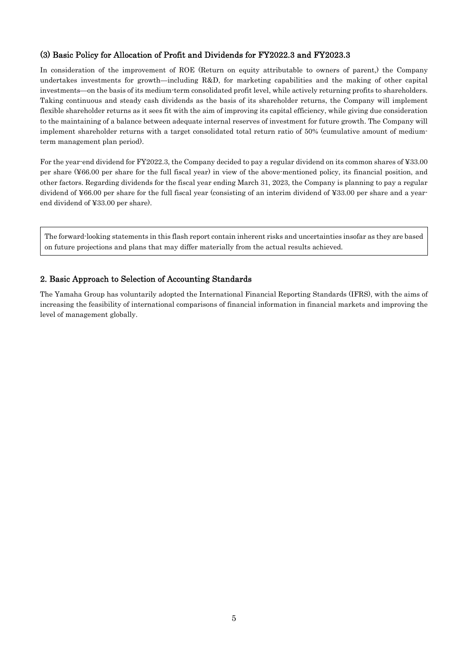### (3) Basic Policy for Allocation of Profit and Dividends for FY2022.3 and FY2023.3

In consideration of the improvement of ROE (Return on equity attributable to owners of parent,) the Company undertakes investments for growth—including R&D, for marketing capabilities and the making of other capital investments—on the basis of its medium-term consolidated profit level, while actively returning profits to shareholders. Taking continuous and steady cash dividends as the basis of its shareholder returns, the Company will implement flexible shareholder returns as it sees fit with the aim of improving its capital efficiency, while giving due consideration to the maintaining of a balance between adequate internal reserves of investment for future growth. The Company will implement shareholder returns with a target consolidated total return ratio of 50% (cumulative amount of mediumterm management plan period).

For the year-end dividend for FY2022.3, the Company decided to pay a regular dividend on its common shares of ¥33.00 per share (¥66.00 per share for the full fiscal year) in view of the above-mentioned policy, its financial position, and other factors. Regarding dividends for the fiscal year ending March 31, 2023, the Company is planning to pay a regular dividend of ¥66.00 per share for the full fiscal year (consisting of an interim dividend of ¥33.00 per share and a yearend dividend of ¥33.00 per share).

The forward-looking statements in this flash report contain inherent risks and uncertainties insofar as they are based on future projections and plans that may differ materially from the actual results achieved.

### 2. Basic Approach to Selection of Accounting Standards

The Yamaha Group has voluntarily adopted the International Financial Reporting Standards (IFRS), with the aims of increasing the feasibility of international comparisons of financial information in financial markets and improving the level of management globally.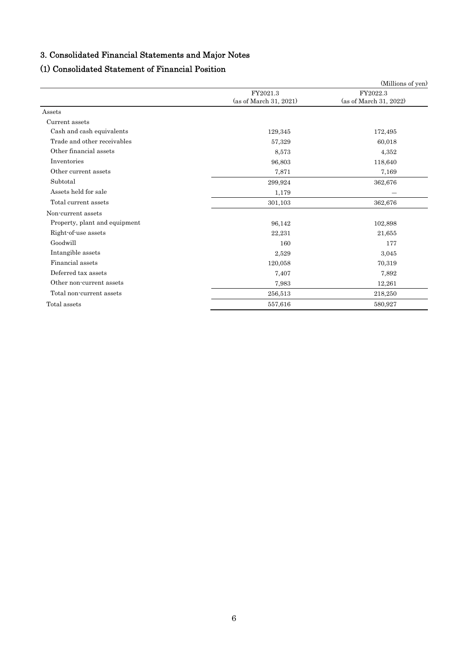# 3. Consolidated Financial Statements and Major Notes

# (1) Consolidated Statement of Financial Position

|                               |                        | (Millions of yen)      |
|-------------------------------|------------------------|------------------------|
|                               | FY2021.3               | FY2022.3               |
|                               | (as of March 31, 2021) | (as of March 31, 2022) |
| Assets                        |                        |                        |
| Current assets                |                        |                        |
| Cash and cash equivalents     | 129,345                | 172,495                |
| Trade and other receivables   | 57,329                 | 60,018                 |
| Other financial assets        | 8,573                  | 4,352                  |
| Inventories                   | 96,803                 | 118,640                |
| Other current assets          | 7,871                  | 7,169                  |
| Subtotal                      | 299,924                | 362,676                |
| Assets held for sale          | 1,179                  |                        |
| Total current assets          | 301,103                | 362,676                |
| Non-current assets            |                        |                        |
| Property, plant and equipment | 96,142                 | 102,898                |
| Right of use assets           | 22,231                 | 21,655                 |
| Goodwill                      | 160                    | 177                    |
| Intangible assets             | 2,529                  | 3,045                  |
| Financial assets              | 120,058                | 70,319                 |
| Deferred tax assets           | 7,407                  | 7,892                  |
| Other non-current assets      | 7,983                  | 12,261                 |
| Total non-current assets      | 256,513                | 218,250                |
| Total assets                  | 557,616                | 580,927                |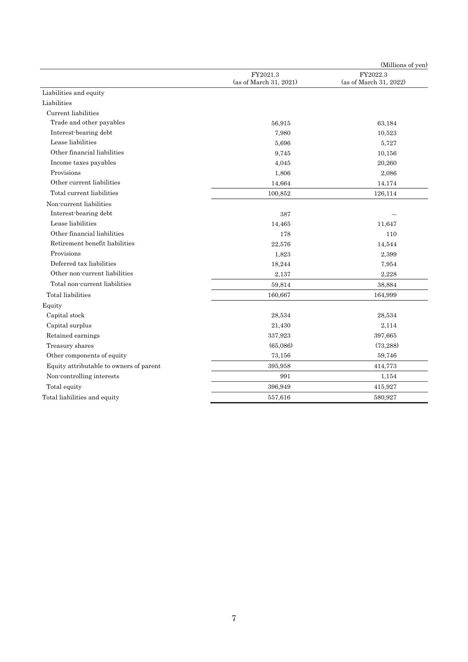|                                         |                                    | (Millions of yen)                  |
|-----------------------------------------|------------------------------------|------------------------------------|
|                                         | FY2021.3<br>(as of March 31, 2021) | FY2022.3<br>(as of March 31, 2022) |
| Liabilities and equity                  |                                    |                                    |
| Liabilities                             |                                    |                                    |
| Current liabilities                     |                                    |                                    |
| Trade and other payables                | 56,915                             | 63,184                             |
| Interest bearing debt                   | 7,980                              | 10,523                             |
| Lease liabilities                       | 5,696                              | 5,727                              |
| Other financial liabilities             | 9,745                              | 10,156                             |
| Income taxes payables                   | 4,045                              | 20,260                             |
| Provisions                              | 1,806                              | 2,086                              |
| Other current liabilities               | 14,664                             | 14,174                             |
| Total current liabilities               | 100,852                            | 126,114                            |
| Non-current liabilities                 |                                    |                                    |
| Interest-bearing debt                   | 387                                |                                    |
| Lease liabilities                       | 14,465                             | 11,647                             |
| Other financial liabilities             | 178                                | 110                                |
| Retirement benefit liabilities          | 22,576                             | 14,544                             |
| Provisions                              | 1,823                              | 2,399                              |
| Deferred tax liabilities                | 18,244                             | 7,954                              |
| Other non-current liabilities           | 2,137                              | 2,228                              |
| Total non-current liabilities           | 59,814                             | 38,884                             |
| Total liabilities                       | 160,667                            | 164,999                            |
| Equity                                  |                                    |                                    |
| Capital stock                           | 28,534                             | 28,534                             |
| Capital surplus                         | 21,430                             | 2,114                              |
| Retained earnings                       | 337,923                            | 397,665                            |
| Treasury shares                         | (65,086)                           | (73, 288)                          |
| Other components of equity              | 73,156                             | 59,746                             |
| Equity attributable to owners of parent | 395,958                            | 414,773                            |
| Non-controlling interests               | 991                                | 1,154                              |
| Total equity                            | 396,949                            | 415,927                            |
| Total liabilities and equity            | 557,616                            | 580,927                            |
|                                         |                                    |                                    |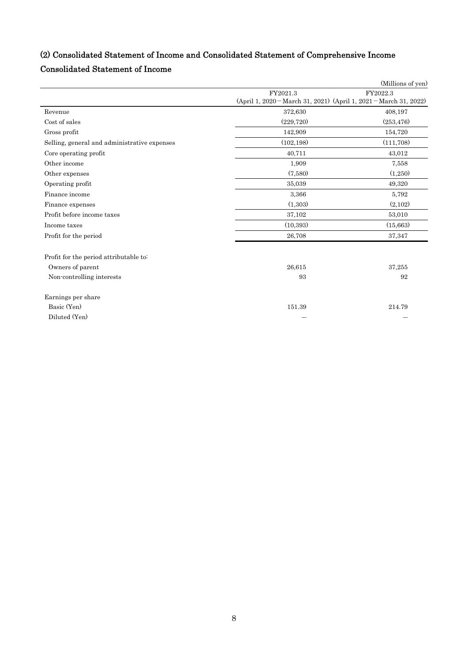# (2) Consolidated Statement of Income and Consolidated Statement of Comprehensive Income

# Consolidated Statement of Income

|                                              |                                                                   | (Millions of yen) |
|----------------------------------------------|-------------------------------------------------------------------|-------------------|
|                                              | FY2021.3                                                          | FY2022.3          |
|                                              | (April 1, 2020 – March 31, 2021) (April 1, 2021 – March 31, 2022) |                   |
| Revenue                                      | 372,630                                                           | 408,197           |
| Cost of sales                                | (229, 720)                                                        | (253, 476)        |
| Gross profit                                 | 142,909                                                           | 154,720           |
| Selling, general and administrative expenses | (102, 198)                                                        | (111,708)         |
| Core operating profit                        | 40,711                                                            | 43,012            |
| Other income                                 | 1,909                                                             | 7,558             |
| Other expenses                               | (7,580)                                                           | (1,250)           |
| Operating profit                             | 35,039                                                            | 49,320            |
| Finance income                               | 3,366                                                             | 5,792             |
| Finance expenses                             | (1, 303)                                                          | (2,102)           |
| Profit before income taxes                   | 37,102                                                            | 53,010            |
| Income taxes                                 | (10, 393)                                                         | (15, 663)         |
| Profit for the period                        | 26,708                                                            | 37,347            |
| Profit for the period attributable to:       |                                                                   |                   |
| Owners of parent                             | 26,615                                                            | 37,255            |
| Non-controlling interests                    | 93                                                                | 92                |
| Earnings per share                           |                                                                   |                   |
| Basic (Yen)                                  | 151.39                                                            | 214.79            |
| Diluted (Yen)                                |                                                                   |                   |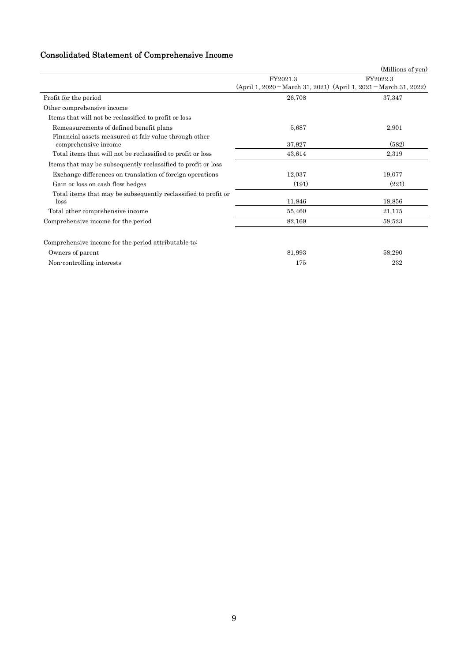# Consolidated Statement of Comprehensive Income

|                                                                               |                                                                               | (Millions of yen) |
|-------------------------------------------------------------------------------|-------------------------------------------------------------------------------|-------------------|
|                                                                               | FY2021.3<br>$(April 1, 2020-March 31, 2021)$ $(April 1, 2021-March 31, 2022)$ | FY2022.3          |
| Profit for the period                                                         | 26,708                                                                        | 37,347            |
| Other comprehensive income                                                    |                                                                               |                   |
| Items that will not be reclassified to profit or loss                         |                                                                               |                   |
| Remeasurements of defined benefit plans                                       | 5,687                                                                         | 2,901             |
| Financial assets measured at fair value through other<br>comprehensive income | 37,927                                                                        | (582)             |
| Total items that will not be reclassified to profit or loss                   | 43,614                                                                        | 2,319             |
| Items that may be subsequently reclassified to profit or loss                 |                                                                               |                   |
| Exchange differences on translation of foreign operations                     | 12,037                                                                        | 19,077            |
| Gain or loss on cash flow hedges                                              | (191)                                                                         | (221)             |
| Total items that may be subsequently reclassified to profit or<br>loss        | 11,846                                                                        | 18,856            |
| Total other comprehensive income                                              | 55,460                                                                        | 21,175            |
| Comprehensive income for the period                                           | 82,169                                                                        | 58.523            |
| Comprehensive income for the period attributable to:                          |                                                                               |                   |
| Owners of parent                                                              | 81,993                                                                        | 58,290            |
| Non-controlling interests                                                     | 175                                                                           | 232               |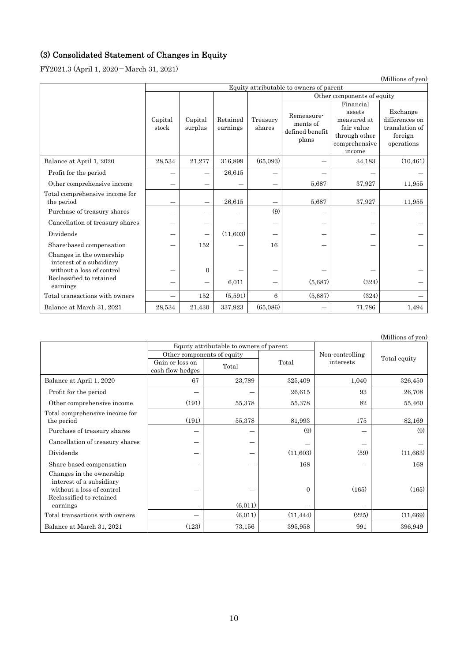# (3) Consolidated Statement of Changes in Equity

FY2021.3 (April 1, 2020−March 31, 2021)

|                                      |                                         |                |          |          |                            |               | <i>(WITHTIONS OF YER)</i> |  |
|--------------------------------------|-----------------------------------------|----------------|----------|----------|----------------------------|---------------|---------------------------|--|
|                                      | Equity attributable to owners of parent |                |          |          |                            |               |                           |  |
|                                      |                                         |                |          |          | Other components of equity |               |                           |  |
|                                      |                                         |                |          |          |                            | Financial     |                           |  |
|                                      |                                         |                |          |          | Remeasure-                 | assets        | Exchange                  |  |
|                                      | Capital                                 | Capital        | Retained | Treasury | ments of                   | measured at   | differences on            |  |
|                                      | stock                                   | surplus        | earnings | shares   | defined benefit            | fair value    | translation of            |  |
|                                      |                                         |                |          |          | plans                      | through other | foreign                   |  |
|                                      |                                         |                |          |          |                            | comprehensive | operations                |  |
|                                      |                                         |                |          |          |                            | income        |                           |  |
| Balance at April 1, 2020             | 28,534                                  | 21,277         | 316.899  | (65,093) |                            | 34,183        | (10, 461)                 |  |
| Profit for the period                |                                         |                | 26,615   |          |                            |               |                           |  |
| Other comprehensive income           |                                         |                |          |          | 5,687                      | 37,927        | 11,955                    |  |
| Total comprehensive income for       |                                         |                |          |          |                            |               |                           |  |
| the period                           |                                         |                | 26,615   |          | 5,687                      | 37,927        | 11,955                    |  |
| Purchase of treasury shares          |                                         |                |          | (9)      |                            |               |                           |  |
| Cancellation of treasury shares      |                                         |                |          |          |                            |               |                           |  |
| Dividends                            |                                         |                | (11,603) |          |                            |               |                           |  |
| Share-based compensation             |                                         | 152            |          | 16       |                            |               |                           |  |
| Changes in the ownership             |                                         |                |          |          |                            |               |                           |  |
| interest of a subsidiary             |                                         |                |          |          |                            |               |                           |  |
| without a loss of control            |                                         | $\overline{0}$ |          |          |                            |               |                           |  |
| Reclassified to retained<br>earnings |                                         | -              | 6,011    |          | (5,687)                    | (324)         |                           |  |
| Total transactions with owners       |                                         | 152            | (5,591)  | 6        | (5,687)                    | (324)         |                           |  |
| Balance at March 31, 2021            | 28,534                                  | 21,430         | 337,923  | (65,086) |                            | 71,786        | 1,494                     |  |

|                                                                                                               |                                     |                                         |           |                 | (WILLHOMS OF YEM) |  |
|---------------------------------------------------------------------------------------------------------------|-------------------------------------|-----------------------------------------|-----------|-----------------|-------------------|--|
|                                                                                                               |                                     | Equity attributable to owners of parent |           |                 |                   |  |
|                                                                                                               | Other components of equity          |                                         |           | Non-controlling |                   |  |
|                                                                                                               | Gain or loss on<br>cash flow hedges | Total                                   | Total     | interests       | Total equity      |  |
| Balance at April 1, 2020                                                                                      | 67                                  | 23,789                                  | 325,409   | 1,040           | 326,450           |  |
| Profit for the period                                                                                         |                                     |                                         | 26,615    | 93              | 26,708            |  |
| Other comprehensive income                                                                                    | (191)                               | 55,378                                  | 55,378    | 82              | 55,460            |  |
| Total comprehensive income for<br>the period                                                                  | (191)                               | 55,378                                  | 81,993    | 175             | 82,169            |  |
| Purchase of treasury shares                                                                                   | —                                   |                                         | (9)       | -               | (9)               |  |
| Cancellation of treasury shares                                                                               | $\overline{\phantom{0}}$            |                                         |           | -               |                   |  |
| Dividends                                                                                                     |                                     |                                         | (11,603)  | (59)            | (11,663)          |  |
| Share-based compensation                                                                                      | $\overline{\phantom{0}}$            |                                         | 168       | -               | 168               |  |
| Changes in the ownership<br>interest of a subsidiary<br>without a loss of control<br>Reclassified to retained |                                     |                                         | $\Omega$  | (165)           | (165)             |  |
| earnings                                                                                                      | $\qquad \qquad$                     | (6,011)                                 |           | -               |                   |  |
| Total transactions with owners                                                                                | —                                   | (6,011)                                 | (11, 444) | (225)           | (11,669)          |  |
| Balance at March 31, 2021                                                                                     | (123)                               | 73,156                                  | 395,958   | 991             | 396,949           |  |

(Millions of yen)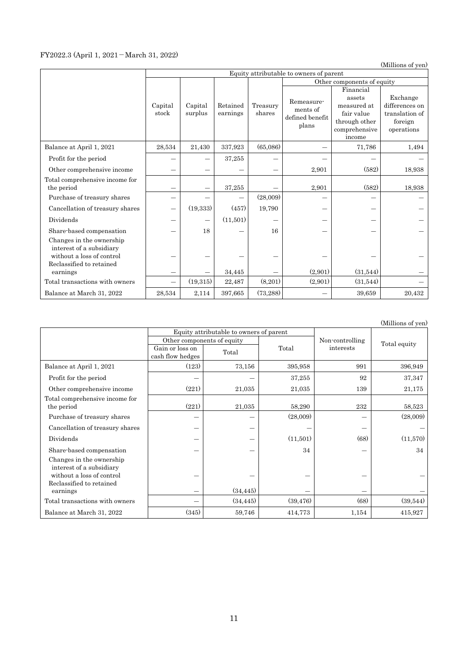### FY2022.3 (April 1, 2021−March 31, 2022)

(Millions of yen)

|                                                                                                               |                  |                    |                      |                    | Equity attributable to owners of parent            |                                                                                              |                                                                       |
|---------------------------------------------------------------------------------------------------------------|------------------|--------------------|----------------------|--------------------|----------------------------------------------------|----------------------------------------------------------------------------------------------|-----------------------------------------------------------------------|
|                                                                                                               |                  |                    |                      |                    |                                                    | Other components of equity                                                                   |                                                                       |
|                                                                                                               | Capital<br>stock | Capital<br>surplus | Retained<br>earnings | Treasury<br>shares | Remeasure-<br>ments of<br>defined benefit<br>plans | Financial<br>assets<br>measured at<br>fair value<br>through other<br>comprehensive<br>income | Exchange<br>differences on<br>translation of<br>foreign<br>operations |
| Balance at April 1, 2021                                                                                      | 28,534           | 21,430             | 337,923              | (65,086)           |                                                    | 71,786                                                                                       | 1,494                                                                 |
| Profit for the period                                                                                         |                  |                    | 37,255               |                    |                                                    |                                                                                              |                                                                       |
| Other comprehensive income                                                                                    |                  |                    |                      |                    | 2,901                                              | (582)                                                                                        | 18,938                                                                |
| Total comprehensive income for<br>the period                                                                  |                  |                    | 37,255               |                    | 2,901                                              | (582)                                                                                        | 18,938                                                                |
| Purchase of treasury shares                                                                                   |                  |                    |                      | (28,009)           |                                                    |                                                                                              |                                                                       |
| Cancellation of treasury shares                                                                               |                  | (19, 333)          | (457)                | 19,790             |                                                    |                                                                                              |                                                                       |
| Dividends                                                                                                     |                  | —                  | (11,501)             |                    |                                                    |                                                                                              |                                                                       |
| Share-based compensation                                                                                      |                  | 18                 |                      | 16                 |                                                    |                                                                                              |                                                                       |
| Changes in the ownership<br>interest of a subsidiary<br>without a loss of control<br>Reclassified to retained |                  |                    |                      |                    |                                                    |                                                                                              |                                                                       |
| earnings                                                                                                      |                  |                    | 34,445               |                    | (2,901)                                            | (31,544)                                                                                     |                                                                       |
| Total transactions with owners                                                                                |                  | (19,315)           | 22,487               | (8,201)            | (2,901)                                            | (31,544)                                                                                     |                                                                       |
| Balance at March 31, 2022                                                                                     | 28,534           | 2,114              | 397,665              | (73, 288)          |                                                    | 39.659                                                                                       | 20,432                                                                |

|                                                                                                               |                                     |                                         |           |                 | (Millions of yen) |  |
|---------------------------------------------------------------------------------------------------------------|-------------------------------------|-----------------------------------------|-----------|-----------------|-------------------|--|
|                                                                                                               |                                     | Equity attributable to owners of parent |           |                 |                   |  |
|                                                                                                               | Other components of equity          |                                         |           | Non-controlling | Total equity      |  |
|                                                                                                               | Gain or loss on<br>cash flow hedges | Total                                   | Total     | interests       |                   |  |
| Balance at April 1, 2021                                                                                      | (123)                               | 73,156                                  | 395,958   | 991             | 396,949           |  |
| Profit for the period                                                                                         |                                     |                                         | 37,255    | 92              | 37,347            |  |
| Other comprehensive income                                                                                    | (221)                               | 21,035                                  | 21,035    | 139             | 21,175            |  |
| Total comprehensive income for<br>the period                                                                  | (221)                               | 21,035                                  | 58,290    | 232             | 58,523            |  |
| Purchase of treasury shares                                                                                   |                                     |                                         | (28,009)  |                 | (28,009)          |  |
| Cancellation of treasury shares                                                                               | --                                  |                                         |           |                 |                   |  |
| Dividends                                                                                                     | -                                   |                                         | (11,501)  | (68)            | (11,570)          |  |
| Share-based compensation                                                                                      | -                                   |                                         | 34        | -               | 34                |  |
| Changes in the ownership<br>interest of a subsidiary<br>without a loss of control<br>Reclassified to retained |                                     |                                         |           |                 |                   |  |
| earnings                                                                                                      |                                     | (34, 445)                               |           |                 |                   |  |
| Total transactions with owners                                                                                |                                     | (34, 445)                               | (39, 476) | (68)            | (39, 544)         |  |
| Balance at March 31, 2022                                                                                     | (345)                               | 59,746                                  | 414,773   | 1,154           | 415,927           |  |

 $(Milline of yn)$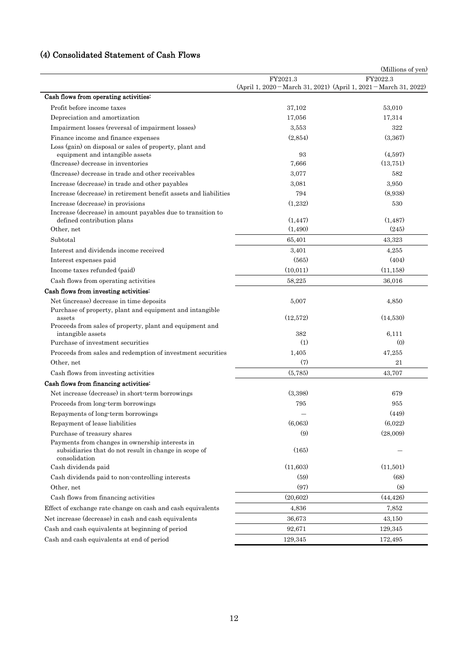# (4) Consolidated Statement of Cash Flows

|                                                                                                                           |                                                                   | (Millions of yen) |
|---------------------------------------------------------------------------------------------------------------------------|-------------------------------------------------------------------|-------------------|
|                                                                                                                           | FY2021.3                                                          | FY2022.3          |
|                                                                                                                           | (April 1, 2020 – March 31, 2021) (April 1, 2021 – March 31, 2022) |                   |
| Cash flows from operating activities:                                                                                     |                                                                   |                   |
| Profit before income taxes                                                                                                | 37,102                                                            | 53,010            |
| Depreciation and amortization                                                                                             | 17,056                                                            | 17,314            |
| Impairment losses (reversal of impairment losses)                                                                         | 3,553                                                             | 322               |
| Finance income and finance expenses                                                                                       | (2,854)                                                           | (3,367)           |
| Loss (gain) on disposal or sales of property, plant and<br>equipment and intangible assets                                | 93                                                                | (4,597)           |
| (Increase) decrease in inventories                                                                                        | 7,666                                                             | (13, 751)         |
| (Increase) decrease in trade and other receivables                                                                        | 3,077                                                             | 582               |
| Increase (decrease) in trade and other payables                                                                           | 3.081                                                             | 3.950             |
| Increase (decrease) in retirement benefit assets and liabilities                                                          | 794                                                               | (8.938)           |
| Increase (decrease) in provisions                                                                                         | (1,232)                                                           | 530               |
| Increase (decrease) in amount payables due to transition to                                                               |                                                                   |                   |
| defined contribution plans                                                                                                | (1, 447)                                                          | (1, 487)          |
| Other, net                                                                                                                | (1,490)                                                           | (245)             |
| Subtotal                                                                                                                  | 65,401                                                            | 43,323            |
| Interest and dividends income received                                                                                    | 3,401                                                             | 4,255             |
| Interest expenses paid                                                                                                    | (565)                                                             | (404)             |
| Income taxes refunded (paid)                                                                                              | (10, 011)                                                         | (11, 158)         |
| Cash flows from operating activities                                                                                      | 58,225                                                            | 36,016            |
| Cash flows from investing activities:                                                                                     |                                                                   |                   |
| Net (increase) decrease in time deposits                                                                                  | 5,007                                                             | 4,850             |
| Purchase of property, plant and equipment and intangible<br>assets                                                        | (12,572)                                                          | (14,530)          |
| Proceeds from sales of property, plant and equipment and                                                                  |                                                                   |                   |
| intangible assets<br>Purchase of investment securities                                                                    | 382<br>(1)                                                        | 6,111<br>(0)      |
| Proceeds from sales and redemption of investment securities                                                               | 1,405                                                             | 47,255            |
| Other, net                                                                                                                | (7)                                                               | 21                |
| Cash flows from investing activities                                                                                      | (5.785)                                                           | 43,707            |
| Cash flows from financing activities:                                                                                     |                                                                   |                   |
| Net increase (decrease) in short-term borrowings                                                                          |                                                                   |                   |
|                                                                                                                           | (3,398)                                                           | 679               |
| Proceeds from long-term borrowings                                                                                        | 795                                                               | 955               |
| Repayments of long-term borrowings                                                                                        |                                                                   | (449)             |
| Repayment of lease liabilities                                                                                            | (6,063)                                                           | (6,022)           |
| Purchase of treasury shares                                                                                               | (9)                                                               | (28,009)          |
| Payments from changes in ownership interests in<br>subsidiaries that do not result in change in scope of<br>consolidation | (165)                                                             |                   |
| Cash dividends paid                                                                                                       | (11,603)                                                          | (11,501)          |
| Cash dividends paid to non-controlling interests                                                                          | (59)                                                              | (68)              |
| Other, net                                                                                                                | (97)                                                              | (8)               |
| Cash flows from financing activities                                                                                      | (20,602)                                                          | (44, 426)         |
| Effect of exchange rate change on cash and cash equivalents                                                               | 4,836                                                             | 7,852             |
| Net increase (decrease) in cash and cash equivalents                                                                      | 36,673                                                            | 43,150            |
| Cash and cash equivalents at beginning of period                                                                          | 92,671                                                            | 129,345           |
| Cash and cash equivalents at end of period                                                                                | 129,345                                                           | 172,495           |
|                                                                                                                           |                                                                   |                   |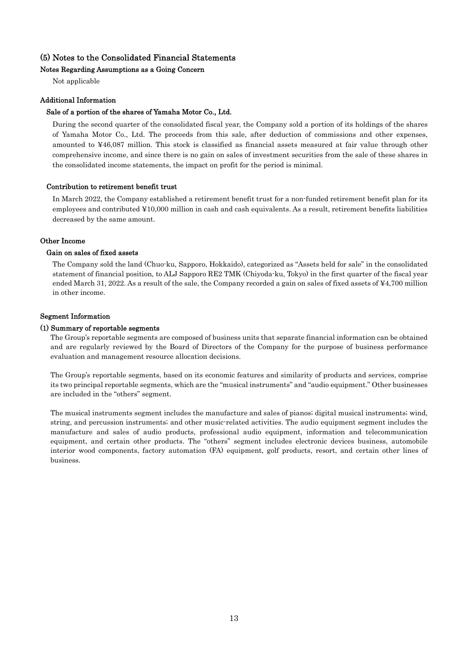#### (5) Notes to the Consolidated Financial Statements

#### Notes Regarding Assumptions as a Going Concern

Not applicable

#### Additional Information

#### Sale of a portion of the shares of Yamaha Motor Co., Ltd.

During the second quarter of the consolidated fiscal year, the Company sold a portion of its holdings of the shares of Yamaha Motor Co., Ltd. The proceeds from this sale, after deduction of commissions and other expenses, amounted to ¥46,087 million. This stock is classified as financial assets measured at fair value through other comprehensive income, and since there is no gain on sales of investment securities from the sale of these shares in the consolidated income statements, the impact on profit for the period is minimal.

#### Contribution to retirement benefit trust

In March 2022, the Company established a retirement benefit trust for a non-funded retirement benefit plan for its employees and contributed ¥10,000 million in cash and cash equivalents. As a result, retirement benefits liabilities decreased by the same amount.

#### Other Income

#### Gain on sales of fixed assets

The Company sold the land (Chuo-ku, Sapporo, Hokkaido), categorized as "Assets held for sale" in the consolidated statement of financial position, to ALJ Sapporo RE2 TMK (Chiyoda-ku, Tokyo) in the first quarter of the fiscal year ended March 31, 2022. As a result of the sale, the Company recorded a gain on sales of fixed assets of ¥4,700 million in other income.

#### Segment Information

#### (1) Summary of reportable segments

The Group's reportable segments are composed of business units that separate financial information can be obtained and are regularly reviewed by the Board of Directors of the Company for the purpose of business performance evaluation and management resource allocation decisions.

The Group's reportable segments, based on its economic features and similarity of products and services, comprise its two principal reportable segments, which are the "musical instruments" and "audio equipment." Other businesses are included in the "others" segment.

The musical instruments segment includes the manufacture and sales of pianos; digital musical instruments; wind, string, and percussion instruments; and other music-related activities. The audio equipment segment includes the manufacture and sales of audio products, professional audio equipment, information and telecommunication equipment, and certain other products. The "others" segment includes electronic devices business, automobile interior wood components, factory automation (FA) equipment, golf products, resort, and certain other lines of business.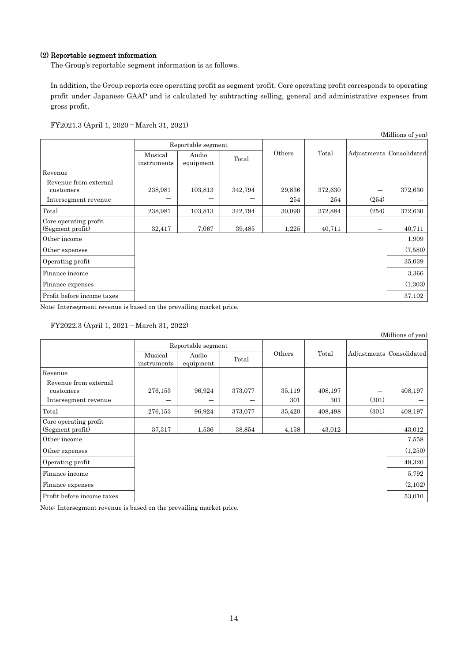#### (2) Reportable segment information

The Group's reportable segment information is as follows.

In addition, the Group reports core operating profit as segment profit. Core operating profit corresponds to operating profit under Japanese GAAP and is calculated by subtracting selling, general and administrative expenses from gross profit.

|                                           |                        |                    |         |        |         |                          | (Millions of yen) |
|-------------------------------------------|------------------------|--------------------|---------|--------|---------|--------------------------|-------------------|
|                                           | Reportable segment     |                    |         |        |         |                          |                   |
|                                           | Musical<br>instruments | Audio<br>equipment | Total   | Others | Total   | Adjustments Consolidated |                   |
| Revenue                                   |                        |                    |         |        |         |                          |                   |
| Revenue from external                     |                        |                    |         |        |         |                          |                   |
| customers                                 | 238,981                | 103,813            | 342,794 | 29,836 | 372,630 |                          | 372,630           |
| Intersegment revenue                      |                        |                    |         | 254    | 254     | (254)                    |                   |
| Total                                     | 238,981                | 103,813            | 342,794 | 30,090 | 372,884 | (254)                    | 372,630           |
| Core operating profit<br>(Segment profit) | 32,417                 | 7,067              | 39,485  | 1,225  | 40,711  |                          | 40,711            |
| Other income                              |                        |                    |         |        |         |                          | 1,909             |
| Other expenses                            |                        |                    |         |        |         |                          | (7,580)           |
| Operating profit                          |                        |                    |         |        |         |                          | 35,039            |
| Finance income                            |                        |                    |         |        |         |                          | 3,366             |
| Finance expenses                          |                        |                    |         |        |         |                          | (1,303)           |
| Profit before income taxes                |                        |                    |         |        |         |                          | 37,102            |

FY2021.3 (April 1, 2020−March 31, 2021)

Note: Intersegment revenue is based on the prevailing market price.

FY2022.3 (April 1, 2021−March 31, 2022)

|                            |                        |                    |         |        |         |                 | (Millions of yen)        |
|----------------------------|------------------------|--------------------|---------|--------|---------|-----------------|--------------------------|
|                            | Reportable segment     |                    |         |        |         |                 |                          |
|                            | Musical<br>instruments | Audio<br>equipment | Total   | Others | Total   |                 | Adjustments Consolidated |
| Revenue                    |                        |                    |         |        |         |                 |                          |
| Revenue from external      |                        |                    |         |        |         |                 |                          |
| customers                  | 276,153                | 96,924             | 373,077 | 35,119 | 408,197 |                 | 408,197                  |
| Intersegment revenue       |                        |                    |         | 301    | 301     | (301)           |                          |
| Total                      | 276,153                | 96,924             | 373,077 | 35,420 | 408,498 | (301)           | 408,197                  |
| Core operating profit      |                        |                    |         |        |         |                 |                          |
| (Segment profit)           | 37,317                 | 1,536              | 38,854  | 4,158  | 43,012  | $\qquad \qquad$ | 43,012                   |
| Other income               |                        |                    |         |        |         |                 | 7,558                    |
| Other expenses             |                        |                    |         |        |         |                 | (1,250)                  |
| Operating profit           |                        |                    |         |        |         |                 | 49,320                   |
| Finance income             |                        |                    |         |        |         |                 | 5,792                    |
| Finance expenses           |                        |                    |         |        |         |                 | (2,102)                  |
| Profit before income taxes |                        |                    |         |        |         |                 | 53,010                   |

Note: Intersegment revenue is based on the prevailing market price.